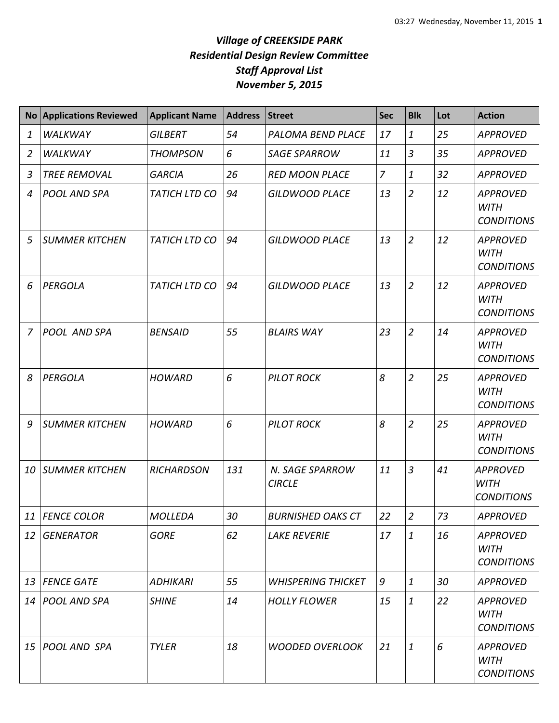| No <sub>1</sub> | <b>Applications Reviewed</b> | <b>Applicant Name</b> | <b>Address</b> | <b>Street</b>                    | <b>Sec</b>     | <b>Blk</b>     | Lot | <b>Action</b>                                       |
|-----------------|------------------------------|-----------------------|----------------|----------------------------------|----------------|----------------|-----|-----------------------------------------------------|
| 1               | <b>WALKWAY</b>               | <b>GILBERT</b>        | 54             | PALOMA BEND PLACE                | 17             | 1              | 25  | <b>APPROVED</b>                                     |
| 2               | <b>WALKWAY</b>               | <b>THOMPSON</b>       | 6              | <b>SAGE SPARROW</b>              | 11             | 3              | 35  | <b>APPROVED</b>                                     |
| 3               | <b>TREE REMOVAL</b>          | <b>GARCIA</b>         | 26             | <b>RED MOON PLACE</b>            | $\overline{7}$ | 1              | 32  | <b>APPROVED</b>                                     |
| 4               | POOL AND SPA                 | <b>TATICH LTD CO</b>  | 94             | <b>GILDWOOD PLACE</b>            | 13             | $\overline{2}$ | 12  | <b>APPROVED</b><br><b>WITH</b><br><b>CONDITIONS</b> |
| 5               | <b>SUMMER KITCHEN</b>        | <b>TATICH LTD CO</b>  | 94             | <b>GILDWOOD PLACE</b>            | 13             | $\overline{2}$ | 12  | <b>APPROVED</b><br><b>WITH</b><br><b>CONDITIONS</b> |
| 6               | PERGOLA                      | <b>TATICH LTD CO</b>  | 94             | <b>GILDWOOD PLACE</b>            | 13             | $\overline{2}$ | 12  | <b>APPROVED</b><br><b>WITH</b><br><b>CONDITIONS</b> |
| 7               | POOL AND SPA                 | <b>BENSAID</b>        | 55             | <b>BLAIRS WAY</b>                | 23             | $\overline{2}$ | 14  | <b>APPROVED</b><br><b>WITH</b><br><b>CONDITIONS</b> |
| 8               | PERGOLA                      | <b>HOWARD</b>         | 6              | <b>PILOT ROCK</b>                | 8              | $\overline{2}$ | 25  | <b>APPROVED</b><br><b>WITH</b><br><b>CONDITIONS</b> |
| 9               | <b>SUMMER KITCHEN</b>        | <b>HOWARD</b>         | 6              | <b>PILOT ROCK</b>                | 8              | $\overline{2}$ | 25  | <b>APPROVED</b><br><b>WITH</b><br><b>CONDITIONS</b> |
| 10              | <b>SUMMER KITCHEN</b>        | <b>RICHARDSON</b>     | 131            | N. SAGE SPARROW<br><b>CIRCLE</b> | 11             | 3              | 41  | APPROVED<br><b>WITH</b><br><b>CONDITIONS</b>        |
|                 | 11   FENCE COLOR             | <b>MOLLEDA</b>        | 30             | <b>BURNISHED OAKS CT</b>         | 22             | $\overline{2}$ | 73  | <b>APPROVED</b>                                     |
|                 | 12 GENERATOR                 | <b>GORE</b>           | 62             | <b>LAKE REVERIE</b>              | 17             | 1              | 16  | <b>APPROVED</b><br><b>WITH</b><br><b>CONDITIONS</b> |
|                 | 13 FENCE GATE                | <b>ADHIKARI</b>       | 55             | <b>WHISPERING THICKET</b>        | 9              | 1              | 30  | <b>APPROVED</b>                                     |
|                 | 14 POOL AND SPA              | <b>SHINE</b>          | 14             | <b>HOLLY FLOWER</b>              | 15             | 1              | 22  | <b>APPROVED</b><br><b>WITH</b><br><b>CONDITIONS</b> |
|                 | 15 POOL AND SPA              | <b>TYLER</b>          | 18             | <b>WOODED OVERLOOK</b>           | 21             | 1              | 6   | <b>APPROVED</b><br><b>WITH</b><br><b>CONDITIONS</b> |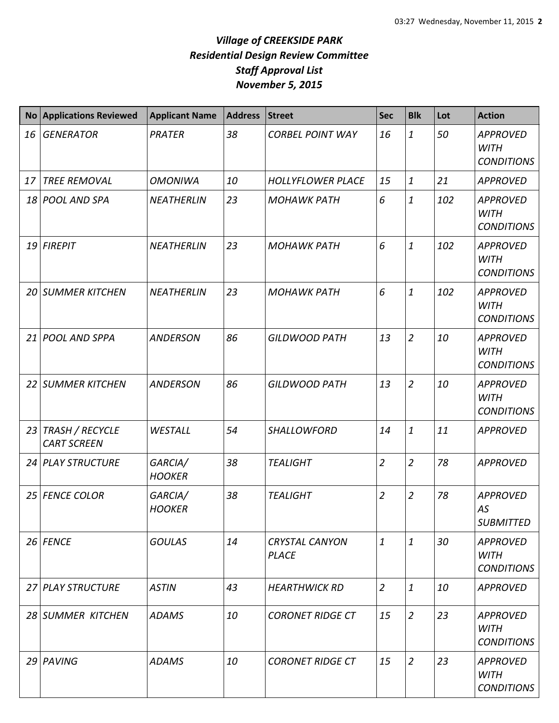| <b>No</b> | <b>Applications Reviewed</b>             | <b>Applicant Name</b>    | <b>Address</b> | <b>Street</b>                         | <b>Sec</b>     | <b>Blk</b>     | Lot | <b>Action</b>                                       |
|-----------|------------------------------------------|--------------------------|----------------|---------------------------------------|----------------|----------------|-----|-----------------------------------------------------|
| 16        | <b>GENERATOR</b>                         | <b>PRATER</b>            | 38             | <b>CORBEL POINT WAY</b>               | 16             | 1              | 50  | <b>APPROVED</b><br><b>WITH</b><br><b>CONDITIONS</b> |
| 17        | <b>TREE REMOVAL</b>                      | <b>OMONIWA</b>           | 10             | <b>HOLLYFLOWER PLACE</b>              | 15             | 1              | 21  | <b>APPROVED</b>                                     |
|           | 18 POOL AND SPA                          | NEATHERLIN               | 23             | <b>MOHAWK PATH</b>                    | 6              | 1              | 102 | <b>APPROVED</b><br><b>WITH</b><br><b>CONDITIONS</b> |
|           | 19 FIREPIT                               | <b>NEATHERLIN</b>        | 23             | <b>MOHAWK PATH</b>                    | 6              | 1              | 102 | <b>APPROVED</b><br><b>WITH</b><br><b>CONDITIONS</b> |
|           | <b>20 SUMMER KITCHEN</b>                 | <b>NEATHERLIN</b>        | 23             | <b>MOHAWK PATH</b>                    | 6              | $\mathbf{1}$   | 102 | <b>APPROVED</b><br><b>WITH</b><br><b>CONDITIONS</b> |
|           | 21 POOL AND SPPA                         | <b>ANDERSON</b>          | 86             | <b>GILDWOOD PATH</b>                  | 13             | $\overline{2}$ | 10  | <b>APPROVED</b><br><b>WITH</b><br><b>CONDITIONS</b> |
|           | 22 SUMMER KITCHEN                        | <b>ANDERSON</b>          | 86             | <b>GILDWOOD PATH</b>                  | 13             | $\overline{2}$ | 10  | <b>APPROVED</b><br><b>WITH</b><br><b>CONDITIONS</b> |
|           | 23 TRASH / RECYCLE<br><b>CART SCREEN</b> | WESTALL                  | 54             | SHALLOWFORD                           | 14             | 1              | 11  | <b>APPROVED</b>                                     |
|           | 24 PLAY STRUCTURE                        | GARCIA/<br><b>HOOKER</b> | 38             | <b>TEALIGHT</b>                       | $\overline{2}$ | $\overline{2}$ | 78  | <b>APPROVED</b>                                     |
|           | 25 FENCE COLOR                           | GARCIA/<br><b>HOOKER</b> | 38             | <b>TEALIGHT</b>                       | $\overline{2}$ | $\overline{2}$ | 78  | <b>APPROVED</b><br>AS<br><b>SUBMITTED</b>           |
|           | 26 FENCE                                 | <b>GOULAS</b>            | 14             | <b>CRYSTAL CANYON</b><br><b>PLACE</b> | 1              | 1              | 30  | <b>APPROVED</b><br>WITH<br><b>CONDITIONS</b>        |
|           | 27 PLAY STRUCTURE                        | <b>ASTIN</b>             | 43             | <b>HEARTHWICK RD</b>                  | $\overline{2}$ | 1              | 10  | <b>APPROVED</b>                                     |
|           | 28 SUMMER KITCHEN                        | <b>ADAMS</b>             | 10             | <b>CORONET RIDGE CT</b>               | 15             | $\overline{2}$ | 23  | <b>APPROVED</b><br><b>WITH</b><br><b>CONDITIONS</b> |
|           | 29 PAVING                                | <b>ADAMS</b>             | 10             | <b>CORONET RIDGE CT</b>               | 15             | $\overline{2}$ | 23  | <b>APPROVED</b><br><b>WITH</b><br><b>CONDITIONS</b> |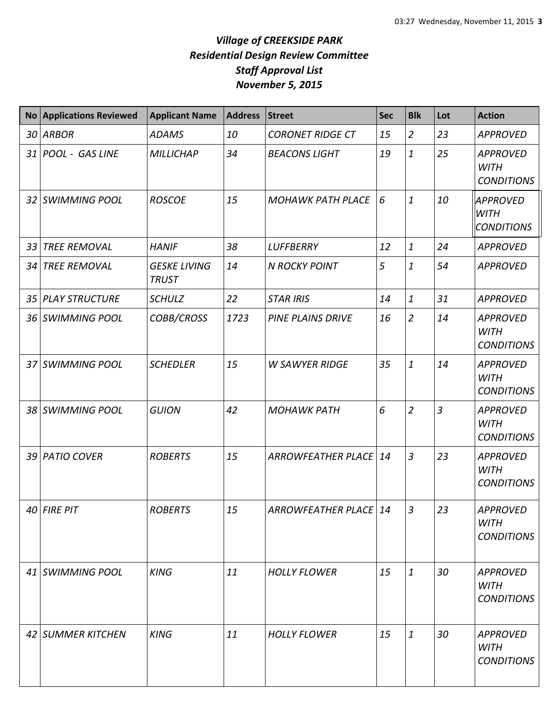|    | No Applications Reviewed | <b>Applicant Name</b>               | <b>Address</b> | <b>Street</b>             | <b>Sec</b> | <b>Blk</b>     | Lot | <b>Action</b>                                       |
|----|--------------------------|-------------------------------------|----------------|---------------------------|------------|----------------|-----|-----------------------------------------------------|
|    | 30 ARBOR                 | <b>ADAMS</b>                        | 10             | <b>CORONET RIDGE CT</b>   | 15         | $\overline{2}$ | 23  | <b>APPROVED</b>                                     |
|    | 31 POOL - GAS LINE       | <b>MILLICHAP</b>                    | 34             | <b>BEACONS LIGHT</b>      | 19         | $\mathbf{1}$   | 25  | <b>APPROVED</b><br><b>WITH</b><br><b>CONDITIONS</b> |
|    | 32 SWIMMING POOL         | <b>ROSCOE</b>                       | 15             | <b>MOHAWK PATH PLACE</b>  | 6          | 1              | 10  | <b>APPROVED</b><br><b>WITH</b><br><b>CONDITIONS</b> |
| 33 | <b>TREE REMOVAL</b>      | <b>HANIF</b>                        | 38             | <b>LUFFBERRY</b>          | 12         | $\mathbf{1}$   | 24  | <b>APPROVED</b>                                     |
|    | 34 TREE REMOVAL          | <b>GESKE LIVING</b><br><b>TRUST</b> | 14             | <b>N ROCKY POINT</b>      | 5          | 1              | 54  | <b>APPROVED</b>                                     |
|    | 35 PLAY STRUCTURE        | <b>SCHULZ</b>                       | 22             | <b>STAR IRIS</b>          | 14         | 1              | 31  | <b>APPROVED</b>                                     |
|    | 36 SWIMMING POOL         | COBB/CROSS                          | 1723           | PINE PLAINS DRIVE         | 16         | $\overline{2}$ | 14  | <b>APPROVED</b><br><b>WITH</b><br><b>CONDITIONS</b> |
|    | 37 SWIMMING POOL         | <b>SCHEDLER</b>                     | 15             | <b>W SAWYER RIDGE</b>     | 35         | 1              | 14  | <b>APPROVED</b><br><b>WITH</b><br><b>CONDITIONS</b> |
|    | 38 SWIMMING POOL         | <b>GUION</b>                        | 42             | <b>MOHAWK PATH</b>        | 6          | $\overline{2}$ | 3   | <b>APPROVED</b><br><b>WITH</b><br><b>CONDITIONS</b> |
|    | 39 PATIO COVER           | <b>ROBERTS</b>                      | 15             | <b>ARROWFEATHER PLACE</b> | 14         | 3              | 23  | <b>APPROVED</b><br><b>WITH</b><br><b>CONDITIONS</b> |
|    | $40$ FIRE PIT            | <b>ROBERTS</b>                      | 15             | ARROWFEATHER PLACE 14     |            | $\overline{3}$ | 23  | <b>APPROVED</b><br><b>WITH</b><br><b>CONDITIONS</b> |
|    | 41 SWIMMING POOL         | <b>KING</b>                         | 11             | <b>HOLLY FLOWER</b>       | 15         | 1              | 30  | <b>APPROVED</b><br><b>WITH</b><br><b>CONDITIONS</b> |
|    | 42 SUMMER KITCHEN        | <b>KING</b>                         | 11             | <b>HOLLY FLOWER</b>       | 15         | 1              | 30  | <b>APPROVED</b><br><b>WITH</b><br><b>CONDITIONS</b> |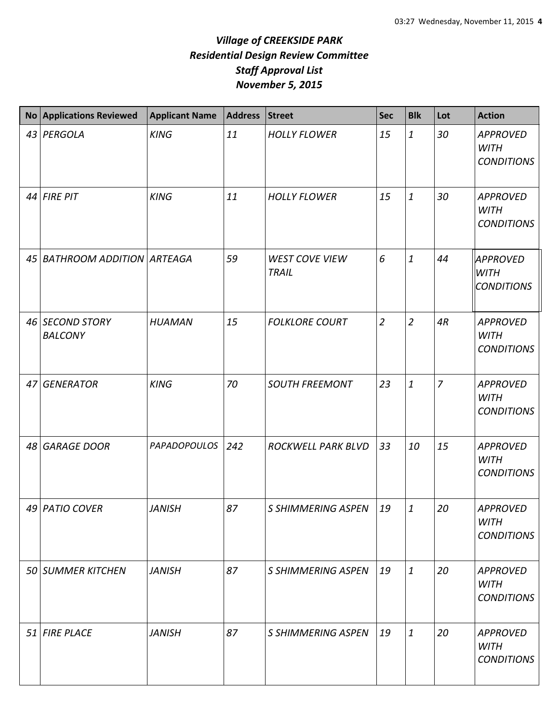| <b>No Applications Reviewed</b>   | <b>Applicant Name</b> | <b>Address</b> | <b>Street</b>                         | <b>Sec</b>     | <b>Blk</b>     | Lot            | <b>Action</b>                                       |
|-----------------------------------|-----------------------|----------------|---------------------------------------|----------------|----------------|----------------|-----------------------------------------------------|
| 43 PERGOLA                        | <b>KING</b>           | 11             | <b>HOLLY FLOWER</b>                   | 15             | 1              | 30             | <b>APPROVED</b><br><b>WITH</b><br><b>CONDITIONS</b> |
| $44$ FIRE PIT                     | <b>KING</b>           | 11             | <b>HOLLY FLOWER</b>                   | 15             | 1              | 30             | <b>APPROVED</b><br><b>WITH</b><br><b>CONDITIONS</b> |
| 45 BATHROOM ADDITION ARTEAGA      |                       | 59             | <b>WEST COVE VIEW</b><br><b>TRAIL</b> | 6              | 1              | 44             | <b>APPROVED</b><br><b>WITH</b><br><b>CONDITIONS</b> |
| 46 SECOND STORY<br><b>BALCONY</b> | <b>HUAMAN</b>         | 15             | <b>FOLKLORE COURT</b>                 | $\overline{2}$ | $\overline{2}$ | 4R             | <b>APPROVED</b><br><b>WITH</b><br><b>CONDITIONS</b> |
| 47 GENERATOR                      | <b>KING</b>           | 70             | <b>SOUTH FREEMONT</b>                 | 23             | 1              | $\overline{7}$ | <b>APPROVED</b><br><b>WITH</b><br><b>CONDITIONS</b> |
| 48 GARAGE DOOR                    | <b>PAPADOPOULOS</b>   | 242            | ROCKWELL PARK BLVD                    | 33             | 10             | 15             | <b>APPROVED</b><br><b>WITH</b><br><b>CONDITIONS</b> |
| 49 PATIO COVER                    | <b>JANISH</b>         | 87             | <b>S SHIMMERING ASPEN</b>             | 19             | 1              | 20             | <b>APPROVED</b><br><b>WITH</b><br><b>CONDITIONS</b> |
| 50 SUMMER KITCHEN                 | <b>JANISH</b>         | 87             | S SHIMMERING ASPEN                    | 19             | 1              | 20             | <b>APPROVED</b><br><b>WITH</b><br><b>CONDITIONS</b> |
| 51 FIRE PLACE                     | <b>JANISH</b>         | 87             | S SHIMMERING ASPEN                    | 19             | 1              | 20             | <b>APPROVED</b><br><b>WITH</b><br><b>CONDITIONS</b> |